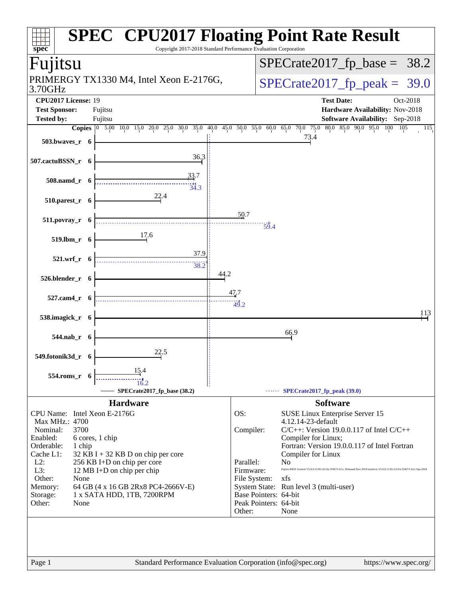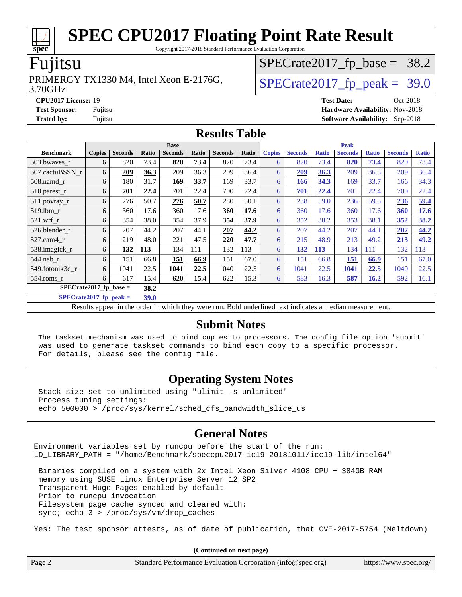Copyright 2017-2018 Standard Performance Evaluation Corporation

#### Fujitsu

**[spec](http://www.spec.org/)**

#### 3.70GHz PRIMERGY TX1330 M4, Intel Xeon E-2176G,  $\vert$  [SPECrate2017\\_fp\\_peak =](http://www.spec.org/auto/cpu2017/Docs/result-fields.html#SPECrate2017fppeak) 39.0

 $SPECTate2017_fp\_base = 38.2$ 

**[CPU2017 License:](http://www.spec.org/auto/cpu2017/Docs/result-fields.html#CPU2017License)** 19 **[Test Date:](http://www.spec.org/auto/cpu2017/Docs/result-fields.html#TestDate)** Oct-2018 **[Test Sponsor:](http://www.spec.org/auto/cpu2017/Docs/result-fields.html#TestSponsor)** Fujitsu **[Hardware Availability:](http://www.spec.org/auto/cpu2017/Docs/result-fields.html#HardwareAvailability)** Nov-2018 **[Tested by:](http://www.spec.org/auto/cpu2017/Docs/result-fields.html#Testedby)** Fujitsu **[Software Availability:](http://www.spec.org/auto/cpu2017/Docs/result-fields.html#SoftwareAvailability)** Sep-2018

#### **[Results Table](http://www.spec.org/auto/cpu2017/Docs/result-fields.html#ResultsTable)**

|                                  | <b>Base</b>   |                |            |                |       | <b>Peak</b>    |       |               |                |              |                |              |                |              |
|----------------------------------|---------------|----------------|------------|----------------|-------|----------------|-------|---------------|----------------|--------------|----------------|--------------|----------------|--------------|
| <b>Benchmark</b>                 | <b>Copies</b> | <b>Seconds</b> | Ratio      | <b>Seconds</b> | Ratio | <b>Seconds</b> | Ratio | <b>Copies</b> | <b>Seconds</b> | <b>Ratio</b> | <b>Seconds</b> | <b>Ratio</b> | <b>Seconds</b> | <b>Ratio</b> |
| 503.bwaves_r                     | 6             | 820            | 73.4       | 820            | 73.4  | 820            | 73.4  | 6             | 820            | 73.4         | 820            | 73.4         | 820            | 73.4         |
| 507.cactuBSSN r                  | 6             | 209            | 36.3       | 209            | 36.3  | 209            | 36.4  | 6             | <b>209</b>     | 36.3         | 209            | 36.3         | 209            | 36.4         |
| $508$ .namd $r$                  | 6             | 180            | 31.7       | 169            | 33.7  | 169            | 33.7  | 6             | 166            | 34.3         | 169            | 33.7         | 166            | 34.3         |
| $510.parest_r$                   | 6             | 701            | 22.4       | 701            | 22.4  | 700            | 22.4  | 6             | 701            | 22.4         | 701            | 22.4         | 700            | 22.4         |
| 511.povray_r                     | 6             | 276            | 50.7       | 276            | 50.7  | 280            | 50.1  | 6             | 238            | 59.0         | 236            | 59.5         | 236            | 59.4         |
| 519.lbm r                        | 6             | 360            | 17.6       | 360            | 17.6  | 360            | 17.6  | 6             | 360            | 17.6         | 360            | 17.6         | 360            | 17.6         |
| $521$ .wrf r                     | 6             | 354            | 38.0       | 354            | 37.9  | 354            | 37.9  | 6             | 352            | 38.2         | 353            | 38.1         | 352            | 38.2         |
| 526.blender r                    | 6             | 207            | 44.2       | 207            | 44.1  | 207            | 44.2  | 6             | 207            | 44.2         | 207            | 44.1         | 207            | 44.2         |
| $527.cam4_r$                     | 6             | 219            | 48.0       | 221            | 47.5  | 220            | 47.7  | 6             | 215            | 48.9         | 213            | 49.2         | 213            | 49.2         |
| 538.imagick_r                    | 6             | 132            | <b>113</b> | 134            | 111   | 132            | 113   | 6             | <u>132</u>     | <b>113</b>   | 134            | 111          | 132            | 113          |
| $544$ .nab_r                     | 6             | 151            | 66.8       | 151            | 66.9  | 151            | 67.0  | 6             | 151            | 66.8         | 151            | 66.9         | 151            | 67.0         |
| 549.fotonik3d_r                  | 6             | 1041           | 22.5       | 1041           | 22.5  | 1040           | 22.5  | 6             | 1041           | 22.5         | 1041           | 22.5         | 1040           | 22.5         |
| $554$ .roms r                    | 6             | 617            | 15.4       | 620            | 15.4  | 622            | 15.3  | 6             | 583            | 16.3         | 587            | <b>16.2</b>  | 592            | 16.1         |
| $SPECrate2017$ fp base =<br>38.2 |               |                |            |                |       |                |       |               |                |              |                |              |                |              |

**[SPECrate2017\\_fp\\_peak =](http://www.spec.org/auto/cpu2017/Docs/result-fields.html#SPECrate2017fppeak) 39.0**

Results appear in the [order in which they were run.](http://www.spec.org/auto/cpu2017/Docs/result-fields.html#RunOrder) Bold underlined text [indicates a median measurement.](http://www.spec.org/auto/cpu2017/Docs/result-fields.html#Median)

#### **[Submit Notes](http://www.spec.org/auto/cpu2017/Docs/result-fields.html#SubmitNotes)**

 The taskset mechanism was used to bind copies to processors. The config file option 'submit' was used to generate taskset commands to bind each copy to a specific processor. For details, please see the config file.

#### **[Operating System Notes](http://www.spec.org/auto/cpu2017/Docs/result-fields.html#OperatingSystemNotes)**

 Stack size set to unlimited using "ulimit -s unlimited" Process tuning settings: echo 500000 > /proc/sys/kernel/sched\_cfs\_bandwidth\_slice\_us

#### **[General Notes](http://www.spec.org/auto/cpu2017/Docs/result-fields.html#GeneralNotes)**

Environment variables set by runcpu before the start of the run: LD\_LIBRARY\_PATH = "/home/Benchmark/speccpu2017-ic19-20181011/icc19-lib/intel64"

 Binaries compiled on a system with 2x Intel Xeon Silver 4108 CPU + 384GB RAM memory using SUSE Linux Enterprise Server 12 SP2 Transparent Huge Pages enabled by default Prior to runcpu invocation Filesystem page cache synced and cleared with: sync; echo 3 > /proc/sys/vm/drop\_caches

Yes: The test sponsor attests, as of date of publication, that CVE-2017-5754 (Meltdown)

|        | (Continued on next page)                                    |                       |
|--------|-------------------------------------------------------------|-----------------------|
| Page 2 | Standard Performance Evaluation Corporation (info@spec.org) | https://www.spec.org/ |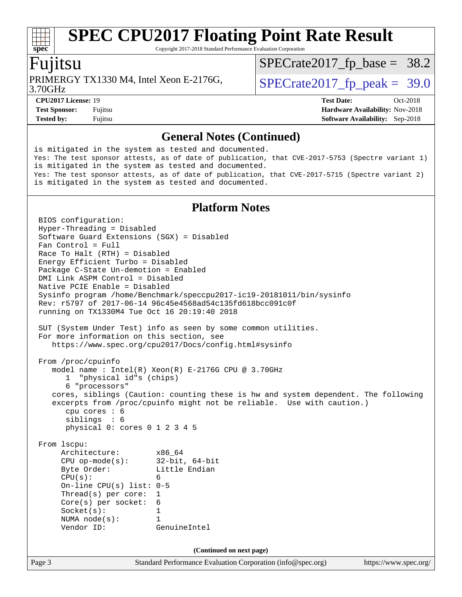Copyright 2017-2018 Standard Performance Evaluation Corporation

#### Fujitsu

**[spec](http://www.spec.org/)**

3.70GHz PRIMERGY TX1330 M4, Intel Xeon E-2176G,  $\vert$  [SPECrate2017\\_fp\\_peak =](http://www.spec.org/auto/cpu2017/Docs/result-fields.html#SPECrate2017fppeak) 39.0

 $SPECTate2017_fp\_base = 38.2$ 

**[CPU2017 License:](http://www.spec.org/auto/cpu2017/Docs/result-fields.html#CPU2017License)** 19 **[Test Date:](http://www.spec.org/auto/cpu2017/Docs/result-fields.html#TestDate)** Oct-2018

**[Test Sponsor:](http://www.spec.org/auto/cpu2017/Docs/result-fields.html#TestSponsor)** Fujitsu **Fundal** Fujitsu **[Hardware Availability:](http://www.spec.org/auto/cpu2017/Docs/result-fields.html#HardwareAvailability)** Nov-2018 **[Tested by:](http://www.spec.org/auto/cpu2017/Docs/result-fields.html#Testedby)** Fujitsu **[Software Availability:](http://www.spec.org/auto/cpu2017/Docs/result-fields.html#SoftwareAvailability)** Sep-2018

#### **[General Notes \(Continued\)](http://www.spec.org/auto/cpu2017/Docs/result-fields.html#GeneralNotes)**

is mitigated in the system as tested and documented. Yes: The test sponsor attests, as of date of publication, that CVE-2017-5753 (Spectre variant 1) is mitigated in the system as tested and documented. Yes: The test sponsor attests, as of date of publication, that CVE-2017-5715 (Spectre variant 2) is mitigated in the system as tested and documented.

#### **[Platform Notes](http://www.spec.org/auto/cpu2017/Docs/result-fields.html#PlatformNotes)**

Page 3 Standard Performance Evaluation Corporation [\(info@spec.org\)](mailto:info@spec.org) <https://www.spec.org/> BIOS configuration: Hyper-Threading = Disabled Software Guard Extensions (SGX) = Disabled Fan Control = Full Race To Halt (RTH) = Disabled Energy Efficient Turbo = Disabled Package C-State Un-demotion = Enabled DMI Link ASPM Control = Disabled Native PCIE Enable = Disabled Sysinfo program /home/Benchmark/speccpu2017-ic19-20181011/bin/sysinfo Rev: r5797 of 2017-06-14 96c45e4568ad54c135fd618bcc091c0f running on TX1330M4 Tue Oct 16 20:19:40 2018 SUT (System Under Test) info as seen by some common utilities. For more information on this section, see <https://www.spec.org/cpu2017/Docs/config.html#sysinfo> From /proc/cpuinfo model name : Intel(R) Xeon(R) E-2176G CPU @ 3.70GHz 1 "physical id"s (chips) 6 "processors" cores, siblings (Caution: counting these is hw and system dependent. The following excerpts from /proc/cpuinfo might not be reliable. Use with caution.) cpu cores : 6 siblings : 6 physical 0: cores 0 1 2 3 4 5 From lscpu: Architecture: x86\_64 CPU op-mode(s): 32-bit, 64-bit Byte Order: Little Endian  $CPU(s):$  6 On-line CPU(s) list: 0-5 Thread(s) per core: 1 Core(s) per socket: 6 Socket(s): 1 NUMA node(s): 1 Vendor ID: GenuineIntel **(Continued on next page)**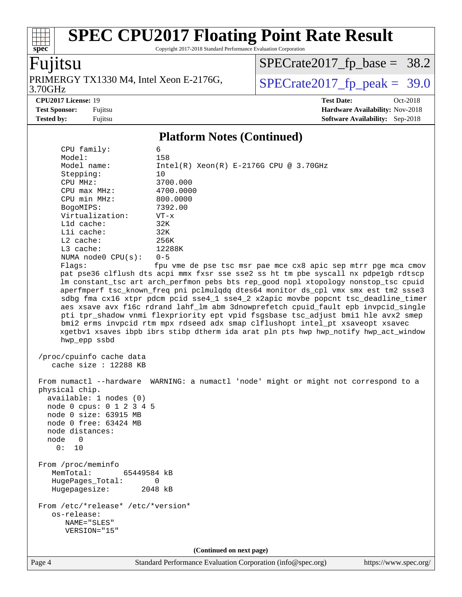Copyright 2017-2018 Standard Performance Evaluation Corporation

### Fujitsu

**[spec](http://www.spec.org/)**

3.70GHz PRIMERGY TX1330 M4, Intel Xeon E-2176G,  $\big|$  [SPECrate2017\\_fp\\_peak =](http://www.spec.org/auto/cpu2017/Docs/result-fields.html#SPECrate2017fppeak) 39.0

 $SPECrate2017_fp\_base = 38.2$ 

**[CPU2017 License:](http://www.spec.org/auto/cpu2017/Docs/result-fields.html#CPU2017License)** 19 **[Test Date:](http://www.spec.org/auto/cpu2017/Docs/result-fields.html#TestDate)** Oct-2018

**[Test Sponsor:](http://www.spec.org/auto/cpu2017/Docs/result-fields.html#TestSponsor)** Fujitsu **[Hardware Availability:](http://www.spec.org/auto/cpu2017/Docs/result-fields.html#HardwareAvailability)** Nov-2018 **[Tested by:](http://www.spec.org/auto/cpu2017/Docs/result-fields.html#Testedby)** Fujitsu **[Software Availability:](http://www.spec.org/auto/cpu2017/Docs/result-fields.html#SoftwareAvailability)** Sep-2018

#### **[Platform Notes \(Continued\)](http://www.spec.org/auto/cpu2017/Docs/result-fields.html#PlatformNotes)**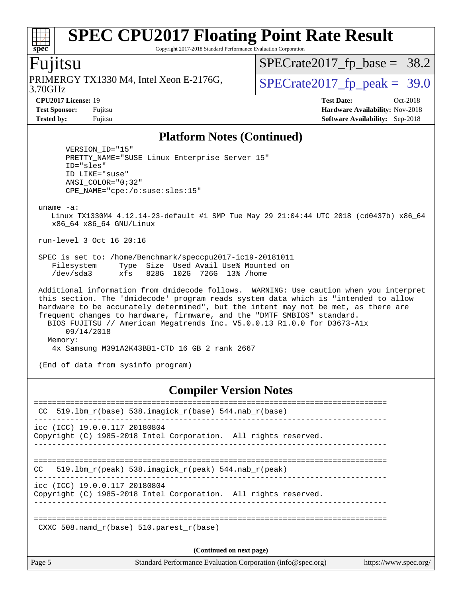Copyright 2017-2018 Standard Performance Evaluation Corporation

#### Fujitsu

3.70GHz PRIMERGY TX1330 M4, Intel Xeon E-2176G,  $\vert$  [SPECrate2017\\_fp\\_peak =](http://www.spec.org/auto/cpu2017/Docs/result-fields.html#SPECrate2017fppeak) 39.0

 $SPECTate2017_fp\_base = 38.2$ 

**[CPU2017 License:](http://www.spec.org/auto/cpu2017/Docs/result-fields.html#CPU2017License)** 19 **[Test Date:](http://www.spec.org/auto/cpu2017/Docs/result-fields.html#TestDate)** Oct-2018 **[Test Sponsor:](http://www.spec.org/auto/cpu2017/Docs/result-fields.html#TestSponsor)** Fujitsu **[Hardware Availability:](http://www.spec.org/auto/cpu2017/Docs/result-fields.html#HardwareAvailability)** Nov-2018 **[Tested by:](http://www.spec.org/auto/cpu2017/Docs/result-fields.html#Testedby)** Fujitsu **[Software Availability:](http://www.spec.org/auto/cpu2017/Docs/result-fields.html#SoftwareAvailability)** Sep-2018

#### **[Platform Notes \(Continued\)](http://www.spec.org/auto/cpu2017/Docs/result-fields.html#PlatformNotes)**

 VERSION\_ID="15" PRETTY\_NAME="SUSE Linux Enterprise Server 15" ID="sles" ID\_LIKE="suse" ANSI\_COLOR="0;32" CPE\_NAME="cpe:/o:suse:sles:15"

uname -a:

 Linux TX1330M4 4.12.14-23-default #1 SMP Tue May 29 21:04:44 UTC 2018 (cd0437b) x86\_64 x86\_64 x86\_64 GNU/Linux

run-level 3 Oct 16 20:16

 SPEC is set to: /home/Benchmark/speccpu2017-ic19-20181011 Filesystem Type Size Used Avail Use% Mounted on /dev/sda3 xfs 828G 102G 726G 13% /home

 Additional information from dmidecode follows. WARNING: Use caution when you interpret this section. The 'dmidecode' program reads system data which is "intended to allow hardware to be accurately determined", but the intent may not be met, as there are frequent changes to hardware, firmware, and the "DMTF SMBIOS" standard. BIOS FUJITSU // American Megatrends Inc. V5.0.0.13 R1.0.0 for D3673-A1x 09/14/2018 Memory: 4x Samsung M391A2K43BB1-CTD 16 GB 2 rank 2667

(End of data from sysinfo program)

#### **[Compiler Version Notes](http://www.spec.org/auto/cpu2017/Docs/result-fields.html#CompilerVersionNotes)**

| CC                                     | $519.1$ bm_r(base) 538.imagick_r(base) 544.nab_r(base)                         |                       |
|----------------------------------------|--------------------------------------------------------------------------------|-----------------------|
| $\text{icc}$ (ICC) 19.0.0.117 20180804 | Copyright (C) 1985-2018 Intel Corporation. All rights reserved.                |                       |
| CC.                                    | 519.1bm $r(\text{peak})$ 538.imagick $r(\text{peak})$ 544.nab $r(\text{peak})$ |                       |
| icc (ICC) 19.0.0.117 20180804          | Copyright (C) 1985-2018 Intel Corporation. All rights reserved.                |                       |
|                                        | CXXC 508. namd $r(base)$ 510. parest $r(base)$                                 |                       |
|                                        | (Continued on next page)                                                       |                       |
| Page 5                                 | Standard Performance Evaluation Corporation (info@spec.org)                    | https://www.spec.org/ |

**[spec](http://www.spec.org/)**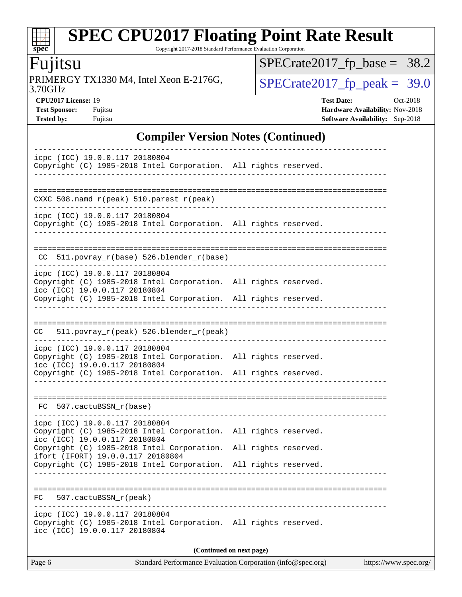Copyright 2017-2018 Standard Performance Evaluation Corporation

## Fujitsu

**[spec](http://www.spec.org/)**

 $+\prime$ 

3.70GHz PRIMERGY TX1330 M4, Intel Xeon E-2176G,  $\big|$  [SPECrate2017\\_fp\\_peak =](http://www.spec.org/auto/cpu2017/Docs/result-fields.html#SPECrate2017fppeak) 39.0

 $SPECrate2017_fp\_base = 38.2$ 

**[Tested by:](http://www.spec.org/auto/cpu2017/Docs/result-fields.html#Testedby)** Fujitsu **[Software Availability:](http://www.spec.org/auto/cpu2017/Docs/result-fields.html#SoftwareAvailability)** Sep-2018

**[CPU2017 License:](http://www.spec.org/auto/cpu2017/Docs/result-fields.html#CPU2017License)** 19 **[Test Date:](http://www.spec.org/auto/cpu2017/Docs/result-fields.html#TestDate)** Oct-2018 **[Test Sponsor:](http://www.spec.org/auto/cpu2017/Docs/result-fields.html#TestSponsor)** Fujitsu **[Hardware Availability:](http://www.spec.org/auto/cpu2017/Docs/result-fields.html#HardwareAvailability)** Nov-2018

### **[Compiler Version Notes \(Continued\)](http://www.spec.org/auto/cpu2017/Docs/result-fields.html#CompilerVersionNotes)**

| Page 6                                                                                                                             | Standard Performance Evaluation Corporation (info@spec.org) | https://www.spec.org/ |
|------------------------------------------------------------------------------------------------------------------------------------|-------------------------------------------------------------|-----------------------|
|                                                                                                                                    | (Continued on next page)                                    |                       |
| icpc (ICC) 19.0.0.117 20180804<br>Copyright (C) 1985-2018 Intel Corporation. All rights reserved.<br>icc (ICC) 19.0.0.117 20180804 |                                                             |                       |
| 507.cactuBSSN_r(peak)<br>FC.                                                                                                       |                                                             |                       |
| Copyright (C) 1985-2018 Intel Corporation. All rights reserved.                                                                    |                                                             |                       |
| Copyright (C) 1985-2018 Intel Corporation.<br>ifort (IFORT) 19.0.0.117 20180804                                                    | All rights reserved.                                        |                       |
| icpc (ICC) 19.0.0.117 20180804<br>Copyright (C) 1985-2018 Intel Corporation. All rights reserved.<br>icc (ICC) 19.0.0.117 20180804 |                                                             |                       |
| FC 507.cactuBSSN_r(base)                                                                                                           |                                                             |                       |
| Copyright (C) 1985-2018 Intel Corporation. All rights reserved.                                                                    |                                                             |                       |
| icpc (ICC) 19.0.0.117 20180804<br>Copyright (C) 1985-2018 Intel Corporation. All rights reserved.<br>icc (ICC) 19.0.0.117 20180804 |                                                             |                       |
| 511.povray_r(peak) 526.blender_r(peak)<br>CC.                                                                                      |                                                             |                       |
|                                                                                                                                    |                                                             |                       |
| icc (ICC) 19.0.0.117 20180804<br>Copyright (C) 1985-2018 Intel Corporation. All rights reserved.                                   |                                                             |                       |
| icpc (ICC) 19.0.0.117 20180804<br>Copyright (C) 1985-2018 Intel Corporation. All rights reserved.                                  |                                                             |                       |
| CC 511.povray_r(base) 526.blender_r(base)                                                                                          |                                                             |                       |
| icpc (ICC) 19.0.0.117 20180804<br>Copyright (C) 1985-2018 Intel Corporation. All rights reserved.                                  |                                                             |                       |
| CXXC 508.namd_r(peak) 510.parest_r(peak)                                                                                           |                                                             |                       |
| Copyright (C) 1985-2018 Intel Corporation. All rights reserved.<br>-----------                                                     |                                                             |                       |
| icpc (ICC) 19.0.0.117 20180804                                                                                                     |                                                             |                       |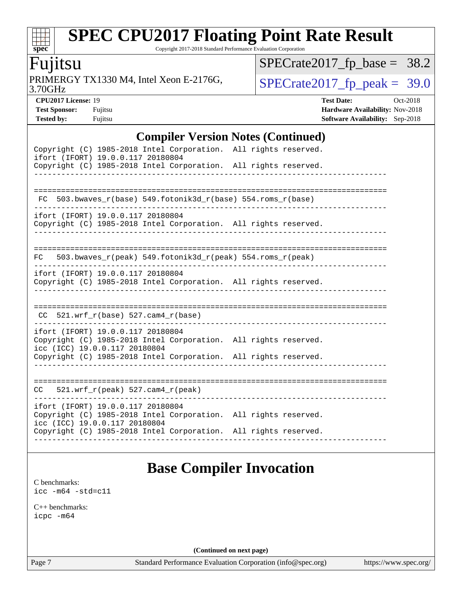Copyright 2017-2018 Standard Performance Evaluation Corporation

### Fujitsu

**[spec](http://www.spec.org/)**

 $\pm$ 

3.70GHz PRIMERGY TX1330 M4, Intel Xeon E-2176G,  $\big|$  [SPECrate2017\\_fp\\_peak =](http://www.spec.org/auto/cpu2017/Docs/result-fields.html#SPECrate2017fppeak) 39.0

 $SPECrate2017_fp\_base = 38.2$ 

**[Test Sponsor:](http://www.spec.org/auto/cpu2017/Docs/result-fields.html#TestSponsor)** Fujitsu **Fundal** Fujitsu **[Hardware Availability:](http://www.spec.org/auto/cpu2017/Docs/result-fields.html#HardwareAvailability)** Nov-2018 **[Tested by:](http://www.spec.org/auto/cpu2017/Docs/result-fields.html#Testedby)** Fujitsu **[Software Availability:](http://www.spec.org/auto/cpu2017/Docs/result-fields.html#SoftwareAvailability)** Sep-2018

**[CPU2017 License:](http://www.spec.org/auto/cpu2017/Docs/result-fields.html#CPU2017License)** 19 **[Test Date:](http://www.spec.org/auto/cpu2017/Docs/result-fields.html#TestDate)** Oct-2018

#### **[Compiler Version Notes \(Continued\)](http://www.spec.org/auto/cpu2017/Docs/result-fields.html#CompilerVersionNotes)**

| Copyright (C) 1985-2018 Intel Corporation. All rights reserved.<br>ifort (IFORT) 19.0.0.117 20180804<br>Copyright (C) 1985-2018 Intel Corporation. All rights reserved. |  |
|-------------------------------------------------------------------------------------------------------------------------------------------------------------------------|--|
| $FC$ 503.bwaves_r(base) 549.fotonik3d_r(base) 554.roms_r(base)                                                                                                          |  |
| ifort (IFORT) 19.0.0.117 20180804<br>Copyright (C) 1985-2018 Intel Corporation. All rights reserved.                                                                    |  |
| 503.bwaves_r(peak) 549.fotonik3d_r(peak) 554.roms_r(peak)<br>FC                                                                                                         |  |
| ifort (IFORT) 19.0.0.117 20180804<br>Copyright (C) 1985-2018 Intel Corporation. All rights reserved.                                                                    |  |
| $CC$ 521.wrf_r(base) 527.cam4_r(base)                                                                                                                                   |  |
| ifort (IFORT) 19.0.0.117 20180804<br>Copyright (C) 1985-2018 Intel Corporation. All rights reserved.<br>icc (ICC) 19.0.0.117 20180804                                   |  |
| Copyright (C) 1985-2018 Intel Corporation. All rights reserved.                                                                                                         |  |
| $521.wrf_r(peak) 527.cam4_r(peak)$<br>CC                                                                                                                                |  |
| ifort (IFORT) 19.0.0.117 20180804<br>Copyright (C) 1985-2018 Intel Corporation. All rights reserved.<br>icc (ICC) 19.0.0.117 20180804                                   |  |
| Copyright (C) 1985-2018 Intel Corporation. All rights reserved.                                                                                                         |  |

### **[Base Compiler Invocation](http://www.spec.org/auto/cpu2017/Docs/result-fields.html#BaseCompilerInvocation)**

[C benchmarks](http://www.spec.org/auto/cpu2017/Docs/result-fields.html#Cbenchmarks): [icc -m64 -std=c11](http://www.spec.org/cpu2017/results/res2018q4/cpu2017-20181030-09461.flags.html#user_CCbase_intel_icc_64bit_c11_33ee0cdaae7deeeab2a9725423ba97205ce30f63b9926c2519791662299b76a0318f32ddfffdc46587804de3178b4f9328c46fa7c2b0cd779d7a61945c91cd35)

[C++ benchmarks:](http://www.spec.org/auto/cpu2017/Docs/result-fields.html#CXXbenchmarks) [icpc -m64](http://www.spec.org/cpu2017/results/res2018q4/cpu2017-20181030-09461.flags.html#user_CXXbase_intel_icpc_64bit_4ecb2543ae3f1412ef961e0650ca070fec7b7afdcd6ed48761b84423119d1bf6bdf5cad15b44d48e7256388bc77273b966e5eb805aefd121eb22e9299b2ec9d9)

**(Continued on next page)**

Page 7 Standard Performance Evaluation Corporation [\(info@spec.org\)](mailto:info@spec.org) <https://www.spec.org/>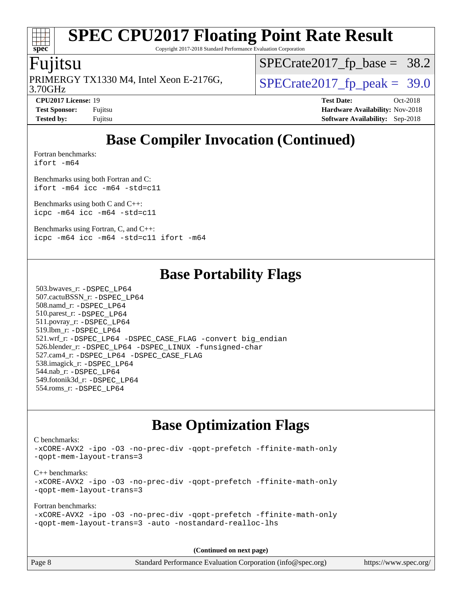# **[spec](http://www.spec.org/)**

# **[SPEC CPU2017 Floating Point Rate Result](http://www.spec.org/auto/cpu2017/Docs/result-fields.html#SPECCPU2017FloatingPointRateResult)**

Copyright 2017-2018 Standard Performance Evaluation Corporation

#### Fujitsu

3.70GHz PRIMERGY TX1330 M4, Intel Xeon E-2176G,  $\vert$  [SPECrate2017\\_fp\\_peak =](http://www.spec.org/auto/cpu2017/Docs/result-fields.html#SPECrate2017fppeak) 39.0

 $SPECrate2017_fp\_base = 38.2$ 

**[Tested by:](http://www.spec.org/auto/cpu2017/Docs/result-fields.html#Testedby)** Fujitsu **[Software Availability:](http://www.spec.org/auto/cpu2017/Docs/result-fields.html#SoftwareAvailability)** Sep-2018

**[CPU2017 License:](http://www.spec.org/auto/cpu2017/Docs/result-fields.html#CPU2017License)** 19 **[Test Date:](http://www.spec.org/auto/cpu2017/Docs/result-fields.html#TestDate)** Oct-2018 **[Test Sponsor:](http://www.spec.org/auto/cpu2017/Docs/result-fields.html#TestSponsor)** Fujitsu **Fundal** Fujitsu **[Hardware Availability:](http://www.spec.org/auto/cpu2017/Docs/result-fields.html#HardwareAvailability)** Nov-2018

### **[Base Compiler Invocation \(Continued\)](http://www.spec.org/auto/cpu2017/Docs/result-fields.html#BaseCompilerInvocation)**

[Fortran benchmarks](http://www.spec.org/auto/cpu2017/Docs/result-fields.html#Fortranbenchmarks): [ifort -m64](http://www.spec.org/cpu2017/results/res2018q4/cpu2017-20181030-09461.flags.html#user_FCbase_intel_ifort_64bit_24f2bb282fbaeffd6157abe4f878425411749daecae9a33200eee2bee2fe76f3b89351d69a8130dd5949958ce389cf37ff59a95e7a40d588e8d3a57e0c3fd751)

[Benchmarks using both Fortran and C](http://www.spec.org/auto/cpu2017/Docs/result-fields.html#BenchmarksusingbothFortranandC): [ifort -m64](http://www.spec.org/cpu2017/results/res2018q4/cpu2017-20181030-09461.flags.html#user_CC_FCbase_intel_ifort_64bit_24f2bb282fbaeffd6157abe4f878425411749daecae9a33200eee2bee2fe76f3b89351d69a8130dd5949958ce389cf37ff59a95e7a40d588e8d3a57e0c3fd751) [icc -m64 -std=c11](http://www.spec.org/cpu2017/results/res2018q4/cpu2017-20181030-09461.flags.html#user_CC_FCbase_intel_icc_64bit_c11_33ee0cdaae7deeeab2a9725423ba97205ce30f63b9926c2519791662299b76a0318f32ddfffdc46587804de3178b4f9328c46fa7c2b0cd779d7a61945c91cd35)

[Benchmarks using both C and C++](http://www.spec.org/auto/cpu2017/Docs/result-fields.html#BenchmarksusingbothCandCXX): [icpc -m64](http://www.spec.org/cpu2017/results/res2018q4/cpu2017-20181030-09461.flags.html#user_CC_CXXbase_intel_icpc_64bit_4ecb2543ae3f1412ef961e0650ca070fec7b7afdcd6ed48761b84423119d1bf6bdf5cad15b44d48e7256388bc77273b966e5eb805aefd121eb22e9299b2ec9d9) [icc -m64 -std=c11](http://www.spec.org/cpu2017/results/res2018q4/cpu2017-20181030-09461.flags.html#user_CC_CXXbase_intel_icc_64bit_c11_33ee0cdaae7deeeab2a9725423ba97205ce30f63b9926c2519791662299b76a0318f32ddfffdc46587804de3178b4f9328c46fa7c2b0cd779d7a61945c91cd35)

[Benchmarks using Fortran, C, and C++:](http://www.spec.org/auto/cpu2017/Docs/result-fields.html#BenchmarksusingFortranCandCXX) [icpc -m64](http://www.spec.org/cpu2017/results/res2018q4/cpu2017-20181030-09461.flags.html#user_CC_CXX_FCbase_intel_icpc_64bit_4ecb2543ae3f1412ef961e0650ca070fec7b7afdcd6ed48761b84423119d1bf6bdf5cad15b44d48e7256388bc77273b966e5eb805aefd121eb22e9299b2ec9d9) [icc -m64 -std=c11](http://www.spec.org/cpu2017/results/res2018q4/cpu2017-20181030-09461.flags.html#user_CC_CXX_FCbase_intel_icc_64bit_c11_33ee0cdaae7deeeab2a9725423ba97205ce30f63b9926c2519791662299b76a0318f32ddfffdc46587804de3178b4f9328c46fa7c2b0cd779d7a61945c91cd35) [ifort -m64](http://www.spec.org/cpu2017/results/res2018q4/cpu2017-20181030-09461.flags.html#user_CC_CXX_FCbase_intel_ifort_64bit_24f2bb282fbaeffd6157abe4f878425411749daecae9a33200eee2bee2fe76f3b89351d69a8130dd5949958ce389cf37ff59a95e7a40d588e8d3a57e0c3fd751)

### **[Base Portability Flags](http://www.spec.org/auto/cpu2017/Docs/result-fields.html#BasePortabilityFlags)**

 503.bwaves\_r: [-DSPEC\\_LP64](http://www.spec.org/cpu2017/results/res2018q4/cpu2017-20181030-09461.flags.html#suite_basePORTABILITY503_bwaves_r_DSPEC_LP64) 507.cactuBSSN\_r: [-DSPEC\\_LP64](http://www.spec.org/cpu2017/results/res2018q4/cpu2017-20181030-09461.flags.html#suite_basePORTABILITY507_cactuBSSN_r_DSPEC_LP64) 508.namd\_r: [-DSPEC\\_LP64](http://www.spec.org/cpu2017/results/res2018q4/cpu2017-20181030-09461.flags.html#suite_basePORTABILITY508_namd_r_DSPEC_LP64) 510.parest\_r: [-DSPEC\\_LP64](http://www.spec.org/cpu2017/results/res2018q4/cpu2017-20181030-09461.flags.html#suite_basePORTABILITY510_parest_r_DSPEC_LP64) 511.povray\_r: [-DSPEC\\_LP64](http://www.spec.org/cpu2017/results/res2018q4/cpu2017-20181030-09461.flags.html#suite_basePORTABILITY511_povray_r_DSPEC_LP64) 519.lbm\_r: [-DSPEC\\_LP64](http://www.spec.org/cpu2017/results/res2018q4/cpu2017-20181030-09461.flags.html#suite_basePORTABILITY519_lbm_r_DSPEC_LP64) 521.wrf\_r: [-DSPEC\\_LP64](http://www.spec.org/cpu2017/results/res2018q4/cpu2017-20181030-09461.flags.html#suite_basePORTABILITY521_wrf_r_DSPEC_LP64) [-DSPEC\\_CASE\\_FLAG](http://www.spec.org/cpu2017/results/res2018q4/cpu2017-20181030-09461.flags.html#b521.wrf_r_baseCPORTABILITY_DSPEC_CASE_FLAG) [-convert big\\_endian](http://www.spec.org/cpu2017/results/res2018q4/cpu2017-20181030-09461.flags.html#user_baseFPORTABILITY521_wrf_r_convert_big_endian_c3194028bc08c63ac5d04de18c48ce6d347e4e562e8892b8bdbdc0214820426deb8554edfa529a3fb25a586e65a3d812c835984020483e7e73212c4d31a38223) 526.blender\_r: [-DSPEC\\_LP64](http://www.spec.org/cpu2017/results/res2018q4/cpu2017-20181030-09461.flags.html#suite_basePORTABILITY526_blender_r_DSPEC_LP64) [-DSPEC\\_LINUX](http://www.spec.org/cpu2017/results/res2018q4/cpu2017-20181030-09461.flags.html#b526.blender_r_baseCPORTABILITY_DSPEC_LINUX) [-funsigned-char](http://www.spec.org/cpu2017/results/res2018q4/cpu2017-20181030-09461.flags.html#user_baseCPORTABILITY526_blender_r_force_uchar_40c60f00ab013830e2dd6774aeded3ff59883ba5a1fc5fc14077f794d777847726e2a5858cbc7672e36e1b067e7e5c1d9a74f7176df07886a243d7cc18edfe67) 527.cam4\_r: [-DSPEC\\_LP64](http://www.spec.org/cpu2017/results/res2018q4/cpu2017-20181030-09461.flags.html#suite_basePORTABILITY527_cam4_r_DSPEC_LP64) [-DSPEC\\_CASE\\_FLAG](http://www.spec.org/cpu2017/results/res2018q4/cpu2017-20181030-09461.flags.html#b527.cam4_r_baseCPORTABILITY_DSPEC_CASE_FLAG) 538.imagick\_r: [-DSPEC\\_LP64](http://www.spec.org/cpu2017/results/res2018q4/cpu2017-20181030-09461.flags.html#suite_basePORTABILITY538_imagick_r_DSPEC_LP64) 544.nab\_r: [-DSPEC\\_LP64](http://www.spec.org/cpu2017/results/res2018q4/cpu2017-20181030-09461.flags.html#suite_basePORTABILITY544_nab_r_DSPEC_LP64) 549.fotonik3d\_r: [-DSPEC\\_LP64](http://www.spec.org/cpu2017/results/res2018q4/cpu2017-20181030-09461.flags.html#suite_basePORTABILITY549_fotonik3d_r_DSPEC_LP64) 554.roms\_r: [-DSPEC\\_LP64](http://www.spec.org/cpu2017/results/res2018q4/cpu2017-20181030-09461.flags.html#suite_basePORTABILITY554_roms_r_DSPEC_LP64)

### **[Base Optimization Flags](http://www.spec.org/auto/cpu2017/Docs/result-fields.html#BaseOptimizationFlags)**

[C benchmarks](http://www.spec.org/auto/cpu2017/Docs/result-fields.html#Cbenchmarks): [-xCORE-AVX2](http://www.spec.org/cpu2017/results/res2018q4/cpu2017-20181030-09461.flags.html#user_CCbase_f-xCORE-AVX2) [-ipo](http://www.spec.org/cpu2017/results/res2018q4/cpu2017-20181030-09461.flags.html#user_CCbase_f-ipo) [-O3](http://www.spec.org/cpu2017/results/res2018q4/cpu2017-20181030-09461.flags.html#user_CCbase_f-O3) [-no-prec-div](http://www.spec.org/cpu2017/results/res2018q4/cpu2017-20181030-09461.flags.html#user_CCbase_f-no-prec-div) [-qopt-prefetch](http://www.spec.org/cpu2017/results/res2018q4/cpu2017-20181030-09461.flags.html#user_CCbase_f-qopt-prefetch) [-ffinite-math-only](http://www.spec.org/cpu2017/results/res2018q4/cpu2017-20181030-09461.flags.html#user_CCbase_f_finite_math_only_cb91587bd2077682c4b38af759c288ed7c732db004271a9512da14a4f8007909a5f1427ecbf1a0fb78ff2a814402c6114ac565ca162485bbcae155b5e4258871) [-qopt-mem-layout-trans=3](http://www.spec.org/cpu2017/results/res2018q4/cpu2017-20181030-09461.flags.html#user_CCbase_f-qopt-mem-layout-trans_de80db37974c74b1f0e20d883f0b675c88c3b01e9d123adea9b28688d64333345fb62bc4a798493513fdb68f60282f9a726aa07f478b2f7113531aecce732043) [C++ benchmarks:](http://www.spec.org/auto/cpu2017/Docs/result-fields.html#CXXbenchmarks) [-xCORE-AVX2](http://www.spec.org/cpu2017/results/res2018q4/cpu2017-20181030-09461.flags.html#user_CXXbase_f-xCORE-AVX2) [-ipo](http://www.spec.org/cpu2017/results/res2018q4/cpu2017-20181030-09461.flags.html#user_CXXbase_f-ipo) [-O3](http://www.spec.org/cpu2017/results/res2018q4/cpu2017-20181030-09461.flags.html#user_CXXbase_f-O3) [-no-prec-div](http://www.spec.org/cpu2017/results/res2018q4/cpu2017-20181030-09461.flags.html#user_CXXbase_f-no-prec-div) [-qopt-prefetch](http://www.spec.org/cpu2017/results/res2018q4/cpu2017-20181030-09461.flags.html#user_CXXbase_f-qopt-prefetch) [-ffinite-math-only](http://www.spec.org/cpu2017/results/res2018q4/cpu2017-20181030-09461.flags.html#user_CXXbase_f_finite_math_only_cb91587bd2077682c4b38af759c288ed7c732db004271a9512da14a4f8007909a5f1427ecbf1a0fb78ff2a814402c6114ac565ca162485bbcae155b5e4258871) [-qopt-mem-layout-trans=3](http://www.spec.org/cpu2017/results/res2018q4/cpu2017-20181030-09461.flags.html#user_CXXbase_f-qopt-mem-layout-trans_de80db37974c74b1f0e20d883f0b675c88c3b01e9d123adea9b28688d64333345fb62bc4a798493513fdb68f60282f9a726aa07f478b2f7113531aecce732043) [Fortran benchmarks](http://www.spec.org/auto/cpu2017/Docs/result-fields.html#Fortranbenchmarks): [-xCORE-AVX2](http://www.spec.org/cpu2017/results/res2018q4/cpu2017-20181030-09461.flags.html#user_FCbase_f-xCORE-AVX2) [-ipo](http://www.spec.org/cpu2017/results/res2018q4/cpu2017-20181030-09461.flags.html#user_FCbase_f-ipo) [-O3](http://www.spec.org/cpu2017/results/res2018q4/cpu2017-20181030-09461.flags.html#user_FCbase_f-O3) [-no-prec-div](http://www.spec.org/cpu2017/results/res2018q4/cpu2017-20181030-09461.flags.html#user_FCbase_f-no-prec-div) [-qopt-prefetch](http://www.spec.org/cpu2017/results/res2018q4/cpu2017-20181030-09461.flags.html#user_FCbase_f-qopt-prefetch) [-ffinite-math-only](http://www.spec.org/cpu2017/results/res2018q4/cpu2017-20181030-09461.flags.html#user_FCbase_f_finite_math_only_cb91587bd2077682c4b38af759c288ed7c732db004271a9512da14a4f8007909a5f1427ecbf1a0fb78ff2a814402c6114ac565ca162485bbcae155b5e4258871) [-qopt-mem-layout-trans=3](http://www.spec.org/cpu2017/results/res2018q4/cpu2017-20181030-09461.flags.html#user_FCbase_f-qopt-mem-layout-trans_de80db37974c74b1f0e20d883f0b675c88c3b01e9d123adea9b28688d64333345fb62bc4a798493513fdb68f60282f9a726aa07f478b2f7113531aecce732043) [-auto](http://www.spec.org/cpu2017/results/res2018q4/cpu2017-20181030-09461.flags.html#user_FCbase_f-auto) [-nostandard-realloc-lhs](http://www.spec.org/cpu2017/results/res2018q4/cpu2017-20181030-09461.flags.html#user_FCbase_f_2003_std_realloc_82b4557e90729c0f113870c07e44d33d6f5a304b4f63d4c15d2d0f1fab99f5daaed73bdb9275d9ae411527f28b936061aa8b9c8f2d63842963b95c9dd6426b8a)

**(Continued on next page)**

Page 8 Standard Performance Evaluation Corporation [\(info@spec.org\)](mailto:info@spec.org) <https://www.spec.org/>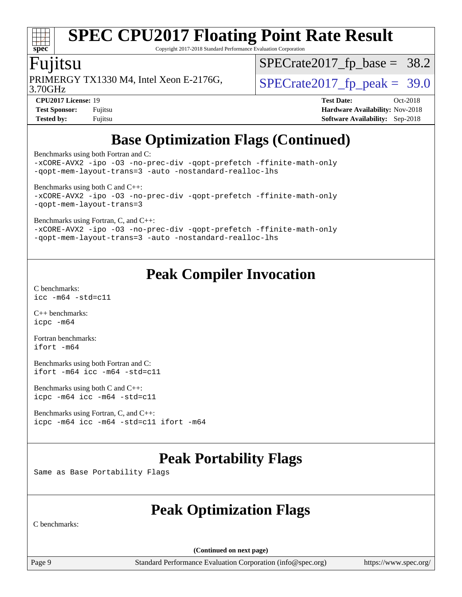# **[spec](http://www.spec.org/)**

# **[SPEC CPU2017 Floating Point Rate Result](http://www.spec.org/auto/cpu2017/Docs/result-fields.html#SPECCPU2017FloatingPointRateResult)**

Copyright 2017-2018 Standard Performance Evaluation Corporation

#### Fujitsu

 $SPECrate2017_fp\_base = 38.2$ 

3.70GHz

PRIMERGY TX1330 M4, Intel Xeon E-2176G,  $\vert$  [SPECrate2017\\_fp\\_peak =](http://www.spec.org/auto/cpu2017/Docs/result-fields.html#SPECrate2017fppeak) 39.0

**[CPU2017 License:](http://www.spec.org/auto/cpu2017/Docs/result-fields.html#CPU2017License)** 19 **[Test Date:](http://www.spec.org/auto/cpu2017/Docs/result-fields.html#TestDate)** Oct-2018 **[Test Sponsor:](http://www.spec.org/auto/cpu2017/Docs/result-fields.html#TestSponsor)** Fujitsu **[Hardware Availability:](http://www.spec.org/auto/cpu2017/Docs/result-fields.html#HardwareAvailability)** Nov-2018 **[Tested by:](http://www.spec.org/auto/cpu2017/Docs/result-fields.html#Testedby)** Fujitsu **[Software Availability:](http://www.spec.org/auto/cpu2017/Docs/result-fields.html#SoftwareAvailability)** Sep-2018

## **[Base Optimization Flags \(Continued\)](http://www.spec.org/auto/cpu2017/Docs/result-fields.html#BaseOptimizationFlags)**

[Benchmarks using both Fortran and C](http://www.spec.org/auto/cpu2017/Docs/result-fields.html#BenchmarksusingbothFortranandC):

[-xCORE-AVX2](http://www.spec.org/cpu2017/results/res2018q4/cpu2017-20181030-09461.flags.html#user_CC_FCbase_f-xCORE-AVX2) [-ipo](http://www.spec.org/cpu2017/results/res2018q4/cpu2017-20181030-09461.flags.html#user_CC_FCbase_f-ipo) [-O3](http://www.spec.org/cpu2017/results/res2018q4/cpu2017-20181030-09461.flags.html#user_CC_FCbase_f-O3) [-no-prec-div](http://www.spec.org/cpu2017/results/res2018q4/cpu2017-20181030-09461.flags.html#user_CC_FCbase_f-no-prec-div) [-qopt-prefetch](http://www.spec.org/cpu2017/results/res2018q4/cpu2017-20181030-09461.flags.html#user_CC_FCbase_f-qopt-prefetch) [-ffinite-math-only](http://www.spec.org/cpu2017/results/res2018q4/cpu2017-20181030-09461.flags.html#user_CC_FCbase_f_finite_math_only_cb91587bd2077682c4b38af759c288ed7c732db004271a9512da14a4f8007909a5f1427ecbf1a0fb78ff2a814402c6114ac565ca162485bbcae155b5e4258871) [-qopt-mem-layout-trans=3](http://www.spec.org/cpu2017/results/res2018q4/cpu2017-20181030-09461.flags.html#user_CC_FCbase_f-qopt-mem-layout-trans_de80db37974c74b1f0e20d883f0b675c88c3b01e9d123adea9b28688d64333345fb62bc4a798493513fdb68f60282f9a726aa07f478b2f7113531aecce732043) [-auto](http://www.spec.org/cpu2017/results/res2018q4/cpu2017-20181030-09461.flags.html#user_CC_FCbase_f-auto) [-nostandard-realloc-lhs](http://www.spec.org/cpu2017/results/res2018q4/cpu2017-20181030-09461.flags.html#user_CC_FCbase_f_2003_std_realloc_82b4557e90729c0f113870c07e44d33d6f5a304b4f63d4c15d2d0f1fab99f5daaed73bdb9275d9ae411527f28b936061aa8b9c8f2d63842963b95c9dd6426b8a)

[Benchmarks using both C and C++](http://www.spec.org/auto/cpu2017/Docs/result-fields.html#BenchmarksusingbothCandCXX):

[-xCORE-AVX2](http://www.spec.org/cpu2017/results/res2018q4/cpu2017-20181030-09461.flags.html#user_CC_CXXbase_f-xCORE-AVX2) [-ipo](http://www.spec.org/cpu2017/results/res2018q4/cpu2017-20181030-09461.flags.html#user_CC_CXXbase_f-ipo) [-O3](http://www.spec.org/cpu2017/results/res2018q4/cpu2017-20181030-09461.flags.html#user_CC_CXXbase_f-O3) [-no-prec-div](http://www.spec.org/cpu2017/results/res2018q4/cpu2017-20181030-09461.flags.html#user_CC_CXXbase_f-no-prec-div) [-qopt-prefetch](http://www.spec.org/cpu2017/results/res2018q4/cpu2017-20181030-09461.flags.html#user_CC_CXXbase_f-qopt-prefetch) [-ffinite-math-only](http://www.spec.org/cpu2017/results/res2018q4/cpu2017-20181030-09461.flags.html#user_CC_CXXbase_f_finite_math_only_cb91587bd2077682c4b38af759c288ed7c732db004271a9512da14a4f8007909a5f1427ecbf1a0fb78ff2a814402c6114ac565ca162485bbcae155b5e4258871) [-qopt-mem-layout-trans=3](http://www.spec.org/cpu2017/results/res2018q4/cpu2017-20181030-09461.flags.html#user_CC_CXXbase_f-qopt-mem-layout-trans_de80db37974c74b1f0e20d883f0b675c88c3b01e9d123adea9b28688d64333345fb62bc4a798493513fdb68f60282f9a726aa07f478b2f7113531aecce732043)

[Benchmarks using Fortran, C, and C++:](http://www.spec.org/auto/cpu2017/Docs/result-fields.html#BenchmarksusingFortranCandCXX)

[-xCORE-AVX2](http://www.spec.org/cpu2017/results/res2018q4/cpu2017-20181030-09461.flags.html#user_CC_CXX_FCbase_f-xCORE-AVX2) [-ipo](http://www.spec.org/cpu2017/results/res2018q4/cpu2017-20181030-09461.flags.html#user_CC_CXX_FCbase_f-ipo) [-O3](http://www.spec.org/cpu2017/results/res2018q4/cpu2017-20181030-09461.flags.html#user_CC_CXX_FCbase_f-O3) [-no-prec-div](http://www.spec.org/cpu2017/results/res2018q4/cpu2017-20181030-09461.flags.html#user_CC_CXX_FCbase_f-no-prec-div) [-qopt-prefetch](http://www.spec.org/cpu2017/results/res2018q4/cpu2017-20181030-09461.flags.html#user_CC_CXX_FCbase_f-qopt-prefetch) [-ffinite-math-only](http://www.spec.org/cpu2017/results/res2018q4/cpu2017-20181030-09461.flags.html#user_CC_CXX_FCbase_f_finite_math_only_cb91587bd2077682c4b38af759c288ed7c732db004271a9512da14a4f8007909a5f1427ecbf1a0fb78ff2a814402c6114ac565ca162485bbcae155b5e4258871) [-qopt-mem-layout-trans=3](http://www.spec.org/cpu2017/results/res2018q4/cpu2017-20181030-09461.flags.html#user_CC_CXX_FCbase_f-qopt-mem-layout-trans_de80db37974c74b1f0e20d883f0b675c88c3b01e9d123adea9b28688d64333345fb62bc4a798493513fdb68f60282f9a726aa07f478b2f7113531aecce732043) [-auto](http://www.spec.org/cpu2017/results/res2018q4/cpu2017-20181030-09461.flags.html#user_CC_CXX_FCbase_f-auto) [-nostandard-realloc-lhs](http://www.spec.org/cpu2017/results/res2018q4/cpu2017-20181030-09461.flags.html#user_CC_CXX_FCbase_f_2003_std_realloc_82b4557e90729c0f113870c07e44d33d6f5a304b4f63d4c15d2d0f1fab99f5daaed73bdb9275d9ae411527f28b936061aa8b9c8f2d63842963b95c9dd6426b8a)

### **[Peak Compiler Invocation](http://www.spec.org/auto/cpu2017/Docs/result-fields.html#PeakCompilerInvocation)**

[C benchmarks](http://www.spec.org/auto/cpu2017/Docs/result-fields.html#Cbenchmarks): [icc -m64 -std=c11](http://www.spec.org/cpu2017/results/res2018q4/cpu2017-20181030-09461.flags.html#user_CCpeak_intel_icc_64bit_c11_33ee0cdaae7deeeab2a9725423ba97205ce30f63b9926c2519791662299b76a0318f32ddfffdc46587804de3178b4f9328c46fa7c2b0cd779d7a61945c91cd35)

[C++ benchmarks:](http://www.spec.org/auto/cpu2017/Docs/result-fields.html#CXXbenchmarks) [icpc -m64](http://www.spec.org/cpu2017/results/res2018q4/cpu2017-20181030-09461.flags.html#user_CXXpeak_intel_icpc_64bit_4ecb2543ae3f1412ef961e0650ca070fec7b7afdcd6ed48761b84423119d1bf6bdf5cad15b44d48e7256388bc77273b966e5eb805aefd121eb22e9299b2ec9d9)

[Fortran benchmarks](http://www.spec.org/auto/cpu2017/Docs/result-fields.html#Fortranbenchmarks): [ifort -m64](http://www.spec.org/cpu2017/results/res2018q4/cpu2017-20181030-09461.flags.html#user_FCpeak_intel_ifort_64bit_24f2bb282fbaeffd6157abe4f878425411749daecae9a33200eee2bee2fe76f3b89351d69a8130dd5949958ce389cf37ff59a95e7a40d588e8d3a57e0c3fd751)

[Benchmarks using both Fortran and C](http://www.spec.org/auto/cpu2017/Docs/result-fields.html#BenchmarksusingbothFortranandC): [ifort -m64](http://www.spec.org/cpu2017/results/res2018q4/cpu2017-20181030-09461.flags.html#user_CC_FCpeak_intel_ifort_64bit_24f2bb282fbaeffd6157abe4f878425411749daecae9a33200eee2bee2fe76f3b89351d69a8130dd5949958ce389cf37ff59a95e7a40d588e8d3a57e0c3fd751) [icc -m64 -std=c11](http://www.spec.org/cpu2017/results/res2018q4/cpu2017-20181030-09461.flags.html#user_CC_FCpeak_intel_icc_64bit_c11_33ee0cdaae7deeeab2a9725423ba97205ce30f63b9926c2519791662299b76a0318f32ddfffdc46587804de3178b4f9328c46fa7c2b0cd779d7a61945c91cd35)

[Benchmarks using both C and C++](http://www.spec.org/auto/cpu2017/Docs/result-fields.html#BenchmarksusingbothCandCXX): [icpc -m64](http://www.spec.org/cpu2017/results/res2018q4/cpu2017-20181030-09461.flags.html#user_CC_CXXpeak_intel_icpc_64bit_4ecb2543ae3f1412ef961e0650ca070fec7b7afdcd6ed48761b84423119d1bf6bdf5cad15b44d48e7256388bc77273b966e5eb805aefd121eb22e9299b2ec9d9) [icc -m64 -std=c11](http://www.spec.org/cpu2017/results/res2018q4/cpu2017-20181030-09461.flags.html#user_CC_CXXpeak_intel_icc_64bit_c11_33ee0cdaae7deeeab2a9725423ba97205ce30f63b9926c2519791662299b76a0318f32ddfffdc46587804de3178b4f9328c46fa7c2b0cd779d7a61945c91cd35)

[Benchmarks using Fortran, C, and C++:](http://www.spec.org/auto/cpu2017/Docs/result-fields.html#BenchmarksusingFortranCandCXX) [icpc -m64](http://www.spec.org/cpu2017/results/res2018q4/cpu2017-20181030-09461.flags.html#user_CC_CXX_FCpeak_intel_icpc_64bit_4ecb2543ae3f1412ef961e0650ca070fec7b7afdcd6ed48761b84423119d1bf6bdf5cad15b44d48e7256388bc77273b966e5eb805aefd121eb22e9299b2ec9d9) [icc -m64 -std=c11](http://www.spec.org/cpu2017/results/res2018q4/cpu2017-20181030-09461.flags.html#user_CC_CXX_FCpeak_intel_icc_64bit_c11_33ee0cdaae7deeeab2a9725423ba97205ce30f63b9926c2519791662299b76a0318f32ddfffdc46587804de3178b4f9328c46fa7c2b0cd779d7a61945c91cd35) [ifort -m64](http://www.spec.org/cpu2017/results/res2018q4/cpu2017-20181030-09461.flags.html#user_CC_CXX_FCpeak_intel_ifort_64bit_24f2bb282fbaeffd6157abe4f878425411749daecae9a33200eee2bee2fe76f3b89351d69a8130dd5949958ce389cf37ff59a95e7a40d588e8d3a57e0c3fd751)

### **[Peak Portability Flags](http://www.spec.org/auto/cpu2017/Docs/result-fields.html#PeakPortabilityFlags)**

Same as Base Portability Flags

### **[Peak Optimization Flags](http://www.spec.org/auto/cpu2017/Docs/result-fields.html#PeakOptimizationFlags)**

[C benchmarks:](http://www.spec.org/auto/cpu2017/Docs/result-fields.html#Cbenchmarks)

**(Continued on next page)**

Page 9 Standard Performance Evaluation Corporation [\(info@spec.org\)](mailto:info@spec.org) <https://www.spec.org/>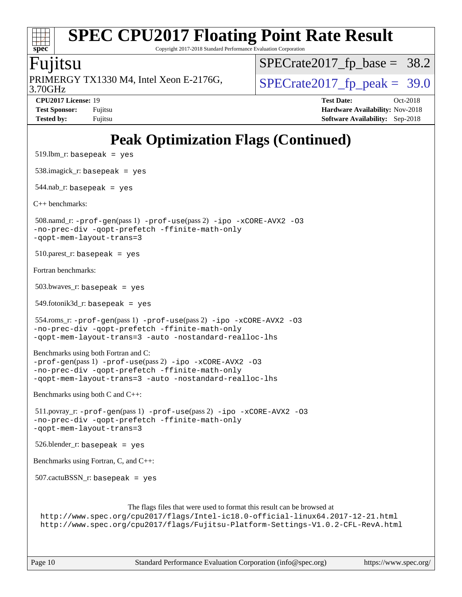Copyright 2017-2018 Standard Performance Evaluation Corporation

#### Fujitsu

3.70GHz PRIMERGY TX1330 M4, Intel Xeon E-2176G,  $\vert$  [SPECrate2017\\_fp\\_peak =](http://www.spec.org/auto/cpu2017/Docs/result-fields.html#SPECrate2017fppeak) 39.0

 $SPECrate2017_fp\_base = 38.2$ 

**[CPU2017 License:](http://www.spec.org/auto/cpu2017/Docs/result-fields.html#CPU2017License)** 19 **[Test Date:](http://www.spec.org/auto/cpu2017/Docs/result-fields.html#TestDate)** Oct-2018 **[Test Sponsor:](http://www.spec.org/auto/cpu2017/Docs/result-fields.html#TestSponsor)** Fujitsu **Fundal** Fujitsu **[Hardware Availability:](http://www.spec.org/auto/cpu2017/Docs/result-fields.html#HardwareAvailability)** Nov-2018 **[Tested by:](http://www.spec.org/auto/cpu2017/Docs/result-fields.html#Testedby)** Fujitsu **[Software Availability:](http://www.spec.org/auto/cpu2017/Docs/result-fields.html#SoftwareAvailability)** Sep-2018

# **[Peak Optimization Flags \(Continued\)](http://www.spec.org/auto/cpu2017/Docs/result-fields.html#PeakOptimizationFlags)**

```
519.lbm_r: basepeak = yes
 538.imagick_r: basepeak = yes
 544.nab_r: basepeak = yes
C++ benchmarks: 
 508.namd_r: -prof-gen(pass 1) -prof-use(pass 2) -ipo -xCORE-AVX2 -O3
-no-prec-div -qopt-prefetch -ffinite-math-only
-qopt-mem-layout-trans=3
510.parest_r: basepeak = yes
Fortran benchmarks: 
 503.bwaves_r: basepeak = yes
549.fotonik3d_r: basepeak = yes
 554.roms_r: -prof-gen(pass 1) -prof-use(pass 2) -ipo -xCORE-AVX2 -O3
-no-prec-div -qopt-prefetch -ffinite-math-only
-qopt-mem-layout-trans=3 -auto -nostandard-realloc-lhs
Benchmarks using both Fortran and C: 
-prof-gen(pass 1) -prof-use(pass 2) -ipo -xCORE-AVX2 -O3
-no-prec-div -qopt-prefetch -ffinite-math-only
-qopt-mem-layout-trans=3 -auto -nostandard-realloc-lhs
Benchmarks using both C and C++: 
 511.povray_r: -prof-gen(pass 1) -prof-use(pass 2) -ipo -xCORE-AVX2 -O3
-no-prec-div -qopt-prefetch -ffinite-math-only
-qopt-mem-layout-trans=3
 526.blender_r: basepeak = yes
Benchmarks using Fortran, C, and C++: 
 507.cactuBSSN_r: basepeak = yes
                        The flags files that were used to format this result can be browsed at
 http://www.spec.org/cpu2017/flags/Intel-ic18.0-official-linux64.2017-12-21.html
 http://www.spec.org/cpu2017/flags/Fujitsu-Platform-Settings-V1.0.2-CFL-RevA.html
```